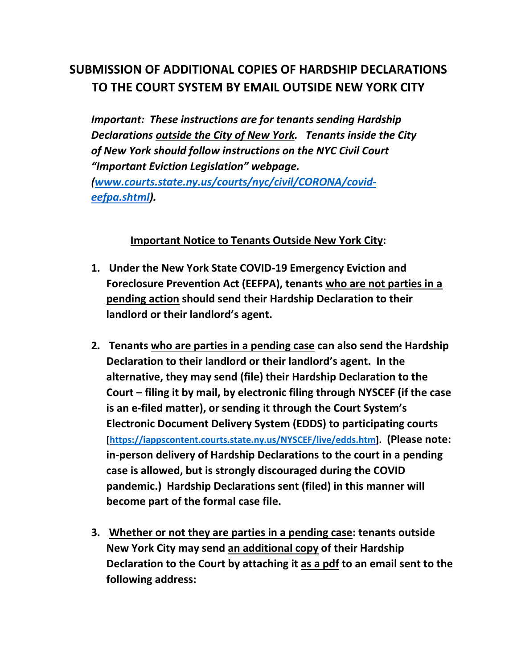# **SUBMISSION OF ADDITIONAL COPIES OF HARDSHIP DECLARATIONS TO THE COURT SYSTEM BY EMAIL OUTSIDE NEW YORK CITY**

*Important: These instructions are for tenants sending Hardship Declarations outside the City of New York. Tenants inside the City of New York should follow instructions on the NYC Civil Court "Important Eviction Legislation" webpage. [\(www.courts.state.ny.us/courts/nyc/civil/CORONA/covid](http://www.courts.state.ny.us/courts/nyc/civil/CORONA/covid-eefpa.shtml)[eefpa.shtml\)](http://www.courts.state.ny.us/courts/nyc/civil/CORONA/covid-eefpa.shtml).*

### **Important Notice to Tenants Outside New York City:**

- **1. Under the New York State COVID-19 Emergency Eviction and Foreclosure Prevention Act (EEFPA), tenants who are not parties in a pending action should send their Hardship Declaration to their landlord or their landlord's agent.**
- **2. Tenants who are parties in a pending case can also send the Hardship Declaration to their landlord or their landlord's agent. In the alternative, they may send (file) their Hardship Declaration to the Court – filing it by mail, by electronic filing through NYSCEF (if the case is an e-filed matter), or sending it through the Court System's Electronic Document Delivery System (EDDS) to participating courts [\[https://iappscontent.courts.state.ny.us/NYSCEF/live/edds.htm\]](https://iappscontent.courts.state.ny.us/NYSCEF/live/edds.htm). (Please note: in-person delivery of Hardship Declarations to the court in a pending case is allowed, but is strongly discouraged during the COVID pandemic.) Hardship Declarations sent (filed) in this manner will become part of the formal case file.**
- **3. Whether or not they are parties in a pending case: tenants outside New York City may send an additional copy of their Hardship Declaration to the Court by attaching it as a pdf to an email sent to the following address:**